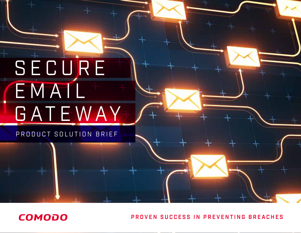# SECURE EMAIL GATEWAY

PRODUCT SOLUTION BRIEF

**COMODO** 

PROVEN SUCCESS IN PREVENTING BREACHES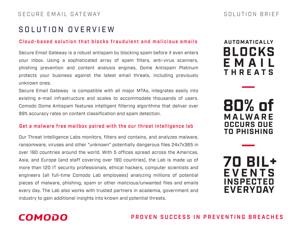## SOLUTION OVERVIEW

#### Cloud-based solution that blocks fraudulent and malicious emails

Secure Email Gateway is a robust antispam by blocking spam before it even enters your inbox. Using a sophisticated array of spam filters, anti-virus scanners, phishing prevention and content analysis engines, Dome Antispam Platinum protects your business against the latest email threats, including previously unknown ones.

Secure Email Gateway is compatible with all major MTAs, integrates easily into existing e-mail infrastructure and scales to accommodate thousands of users. Comodo Dome Antispam features intelligent filtering algorithms that deliver over 99% accuracy rates on content classification and spam detection.

#### Get a malware free mailbox paired with the our threat intelligence lab

Our Threat Intelligence Labs monitors, filters and contains, and analyzes malware, ransomware, viruses and other "unknown" potentially dangerous files 24x7x365 in over 190 countries around the world. With 5 offices spread across the Americas, Asia, and Europe (and staff covering over 190 countries), the Lab is made up of more than 120 IT security professionals, ethical hackers, computer scientists and engineers (all full-time Comodo Lab employees) analyzing millions of potential pieces of malware, phishing, spam or other malicious/unwanted files and emails every day. The Lab also works with trusted partners in academia, government and industry to gain additional insights into known and potential threats.

# **EMAIL THREATS AUTOMATICALLY BLOCKS**

**MALWARE OCCURS DUE TO PHISHING 80% of**

**EVENTS INSPECTED EVERYDAY 70 BIL+**

# **COMODO**